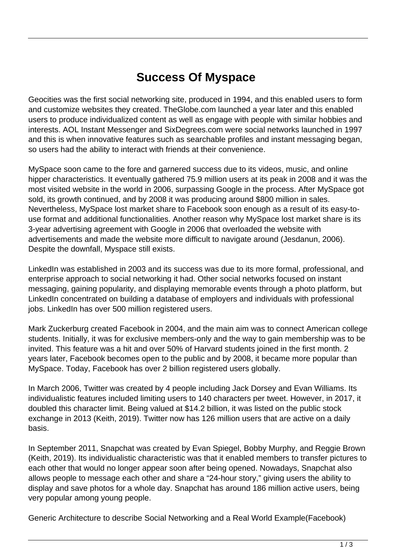## **Success Of Myspace**

Geocities was the first social networking site, produced in 1994, and this enabled users to form and customize websites they created. TheGlobe.com launched a year later and this enabled users to produce individualized content as well as engage with people with similar hobbies and interests. AOL Instant Messenger and SixDegrees.com were social networks launched in 1997 and this is when innovative features such as searchable profiles and instant messaging began, so users had the ability to interact with friends at their convenience.

MySpace soon came to the fore and garnered success due to its videos, music, and online hipper characteristics. It eventually gathered 75.9 million users at its peak in 2008 and it was the most visited website in the world in 2006, surpassing Google in the process. After MySpace got sold, its growth continued, and by 2008 it was producing around \$800 million in sales. Nevertheless, MySpace lost market share to Facebook soon enough as a result of its easy-touse format and additional functionalities. Another reason why MySpace lost market share is its 3-year advertising agreement with Google in 2006 that overloaded the website with advertisements and made the website more difficult to navigate around (Jesdanun, 2006). Despite the downfall, Myspace still exists.

LinkedIn was established in 2003 and its success was due to its more formal, professional, and enterprise approach to social networking it had. Other social networks focused on instant messaging, gaining popularity, and displaying memorable events through a photo platform, but LinkedIn concentrated on building a database of employers and individuals with professional jobs. LinkedIn has over 500 million registered users.

Mark Zuckerburg created Facebook in 2004, and the main aim was to connect American college students. Initially, it was for exclusive members-only and the way to gain membership was to be invited. This feature was a hit and over 50% of Harvard students joined in the first month. 2 years later, Facebook becomes open to the public and by 2008, it became more popular than MySpace. Today, Facebook has over 2 billion registered users globally.

In March 2006, Twitter was created by 4 people including Jack Dorsey and Evan Williams. Its individualistic features included limiting users to 140 characters per tweet. However, in 2017, it doubled this character limit. Being valued at \$14.2 billion, it was listed on the public stock exchange in 2013 (Keith, 2019). Twitter now has 126 million users that are active on a daily basis.

In September 2011, Snapchat was created by Evan Spiegel, Bobby Murphy, and Reggie Brown (Keith, 2019). Its individualistic characteristic was that it enabled members to transfer pictures to each other that would no longer appear soon after being opened. Nowadays, Snapchat also allows people to message each other and share a "24-hour story," giving users the ability to display and save photos for a whole day. Snapchat has around 186 million active users, being very popular among young people.

Generic Architecture to describe Social Networking and a Real World Example(Facebook)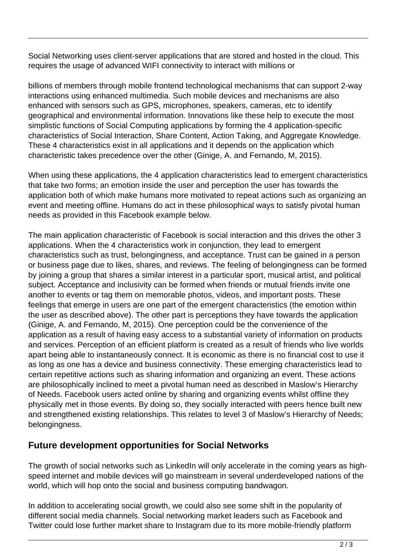Social Networking uses client-server applications that are stored and hosted in the cloud. This requires the usage of advanced WIFI connectivity to interact with millions or

billions of members through mobile frontend technological mechanisms that can support 2-way interactions using enhanced multimedia. Such mobile devices and mechanisms are also enhanced with sensors such as GPS, microphones, speakers, cameras, etc to identify geographical and environmental information. Innovations like these help to execute the most simplistic functions of Social Computing applications by forming the 4 application-specific characteristics of Social Interaction, Share Content, Action Taking, and Aggregate Knowledge. These 4 characteristics exist in all applications and it depends on the application which characteristic takes precedence over the other (Ginige, A. and Fernando, M, 2015).

When using these applications, the 4 application characteristics lead to emergent characteristics that take two forms; an emotion inside the user and perception the user has towards the application both of which make humans more motivated to repeat actions such as organizing an event and meeting offline. Humans do act in these philosophical ways to satisfy pivotal human needs as provided in this Facebook example below.

The main application characteristic of Facebook is social interaction and this drives the other 3 applications. When the 4 characteristics work in conjunction, they lead to emergent characteristics such as trust, belongingness, and acceptance. Trust can be gained in a person or business page due to likes, shares, and reviews. The feeling of belongingness can be formed by joining a group that shares a similar interest in a particular sport, musical artist, and political subject. Acceptance and inclusivity can be formed when friends or mutual friends invite one another to events or tag them on memorable photos, videos, and important posts. These feelings that emerge in users are one part of the emergent characteristics (the emotion within the user as described above). The other part is perceptions they have towards the application (Ginige, A. and Fernando, M, 2015). One perception could be the convenience of the application as a result of having easy access to a substantial variety of information on products and services. Perception of an efficient platform is created as a result of friends who live worlds apart being able to instantaneously connect. It is economic as there is no financial cost to use it as long as one has a device and business connectivity. These emerging characteristics lead to certain repetitive actions such as sharing information and organizing an event. These actions are philosophically inclined to meet a pivotal human need as described in Maslow's Hierarchy of Needs. Facebook users acted online by sharing and organizing events whilst offline they physically met in those events. By doing so, they socially interacted with peers hence built new and strengthened existing relationships. This relates to level 3 of Maslow's Hierarchy of Needs; belongingness.

## **Future development opportunities for Social Networks**

The growth of social networks such as LinkedIn will only accelerate in the coming years as highspeed internet and mobile devices will go mainstream in several underdeveloped nations of the world, which will hop onto the social and business computing bandwagon.

In addition to accelerating social growth, we could also see some shift in the popularity of different social media channels. Social networking market leaders such as Facebook and Twitter could lose further market share to Instagram due to its more mobile-friendly platform